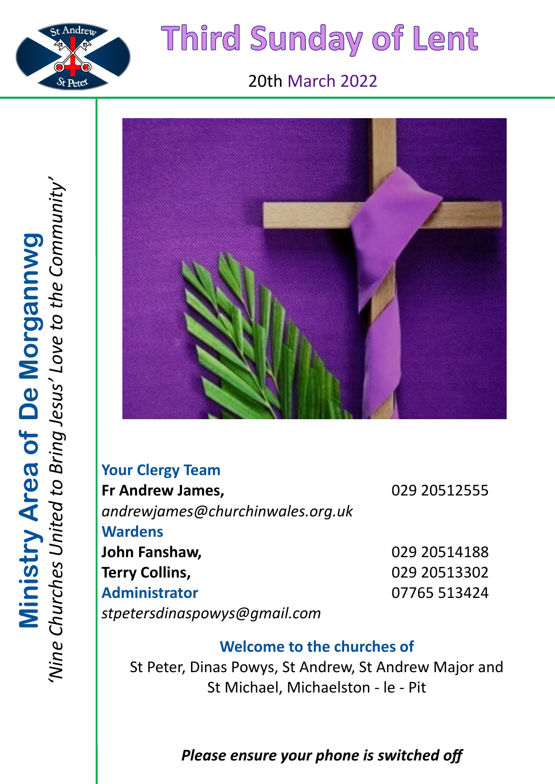

# Third Sunday of Lent

## 20th March 2022



| <b>Your Clergy Team</b>          |              |
|----------------------------------|--------------|
| Fr Andrew James,                 | 029 20512555 |
| andrewjames@churchinwales.org.uk |              |
| <b>Wardens</b>                   |              |
| John Fanshaw,                    | 029 20514188 |
| <b>Terry Collins,</b>            | 029 20513302 |
| <b>Administrator</b>             | 07765 513424 |
| stpetersdinaspowys@gmail.com     |              |
|                                  |              |

## **Welcome to the churches of**

St Peter, Dinas Powys, St Andrew, St Andrew Major and St Michael, Michaelston - le - Pit

## *Please ensure your phone is switched off*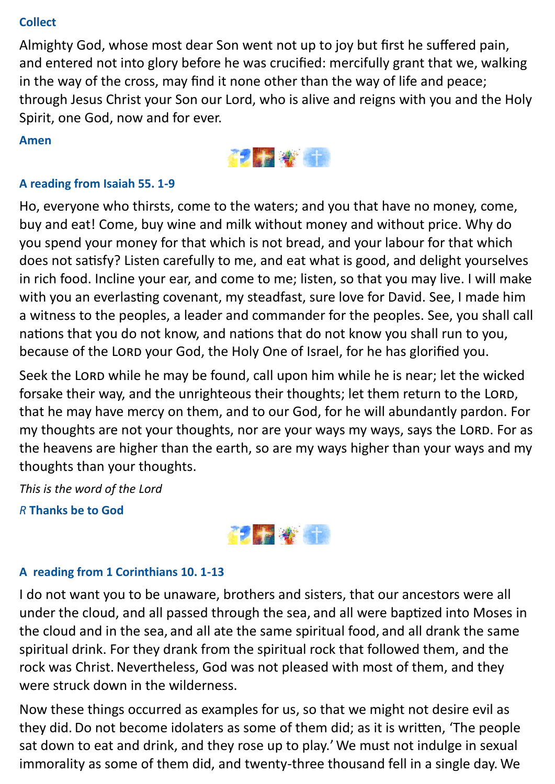#### **Collect**

Almighty God, whose most dear Son went not up to joy but first he suffered pain, and entered not into glory before he was crucified: mercifully grant that we, walking in the way of the cross, may find it none other than the way of life and peace; through Jesus Christ your Son our Lord, who is alive and reigns with you and the Holy Spirit, one God, now and for ever.

#### **Amen**



#### **A reading from Isaiah 55. 1-9**

Ho, everyone who thirsts, come to the waters; and you that have no money, come, buy and eat! Come, buy wine and milk without money and without price. Why do you spend your money for that which is not bread, and your labour for that which does not satisfy? Listen carefully to me, and eat what is good, and delight yourselves in rich food. Incline your ear, and come to me; listen, so that you may live. I will make with you an everlasting covenant, my steadfast, sure love for David. See, I made him a witness to the peoples, a leader and commander for the peoples. See, you shall call nations that you do not know, and nations that do not know you shall run to you, because of the LORD your God, the Holy One of Israel, for he has glorified you.

Seek the LORD while he may be found, call upon him while he is near; let the wicked forsake their way, and the unrighteous their thoughts; let them return to the LORD, that he may have mercy on them, and to our God, for he will abundantly pardon. For my thoughts are not your thoughts, nor are your ways my ways, says the LORD. For as the heavens are higher than the earth, so are my ways higher than your ways and my thoughts than your thoughts.

*This is the word of the Lord*

*R* **Thanks be to God**



#### **A reading from 1 Corinthians 10. 1-13**

I do not want you to be unaware, brothers and sisters, that our ancestors were all under the cloud, and all passed through the sea, and all were baptized into Moses in the cloud and in the sea, and all ate the same spiritual food, and all drank the same spiritual drink. For they drank from the spiritual rock that followed them, and the rock was Christ. Nevertheless, God was not pleased with most of them, and they were struck down in the wilderness.

Now these things occurred as examples for us, so that we might not desire evil as they did. Do not become idolaters as some of them did; as it is written, 'The people sat down to eat and drink, and they rose up to play.' We must not indulge in sexual immorality as some of them did, and twenty-three thousand fell in a single day. We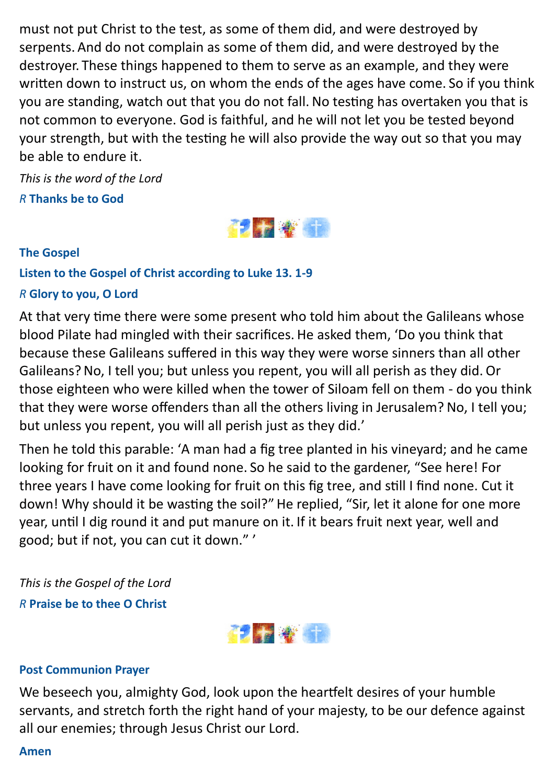must not put Christ to the test, as some of them did, and were destroyed by serpents. And do not complain as some of them did, and were destroyed by the destroyer. These things happened to them to serve as an example, and they were written down to instruct us, on whom the ends of the ages have come. So if you think you are standing, watch out that you do not fall. No testing has overtaken you that is not common to everyone. God is faithful, and he will not let you be tested beyond your strength, but with the testing he will also provide the way out so that you may be able to endure it.

*This is the word of the Lord R* **Thanks be to God**



#### **The Gospel**

## **Listen to the Gospel of Christ according to Luke 13. 1-9** *R* **Glory to you, O Lord**

At that very time there were some present who told him about the Galileans whose blood Pilate had mingled with their sacrifices. He asked them, 'Do you think that because these Galileans suffered in this way they were worse sinners than all other Galileans?No, I tell you; but unless you repent, you will all perish as they did. Or those eighteen who were killed when the tower of Siloam fell on them - do you think that they were worse offenders than all the others living in Jerusalem? No, I tell you; but unless you repent, you will all perish just as they did.'

Then he told this parable: 'A man had a fig tree planted in his vineyard; and he came looking for fruit on it and found none. So he said to the gardener, "See here! For three years I have come looking for fruit on this fig tree, and still I find none. Cut it down! Why should it be wasting the soil?" He replied, "Sir, let it alone for one more year, until I dig round it and put manure on it. If it bears fruit next year, well and good; but if not, you can cut it down." '

*This is the Gospel of the Lord R* **Praise be to thee O Christ**



#### **Post Communion Prayer**

We beseech you, almighty God, look upon the heartfelt desires of your humble servants, and stretch forth the right hand of your majesty, to be our defence against all our enemies; through Jesus Christ our Lord.

**Amen**